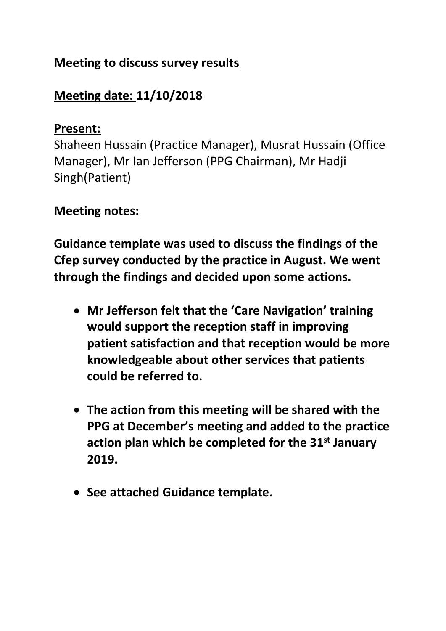## **Meeting to discuss survey results**

# **Meeting date: 11/10/2018**

## **Present:**

Shaheen Hussain (Practice Manager), Musrat Hussain (Office Manager), Mr Ian Jefferson (PPG Chairman), Mr Hadji Singh(Patient)

## **Meeting notes:**

**Guidance template was used to discuss the findings of the Cfep survey conducted by the practice in August. We went through the findings and decided upon some actions.** 

- **Mr Jefferson felt that the 'Care Navigation' training would support the reception staff in improving patient satisfaction and that reception would be more knowledgeable about other services that patients could be referred to.**
- **The action from this meeting will be shared with the PPG at December's meeting and added to the practice action plan which be completed for the 31st January 2019.**
- **See attached Guidance template.**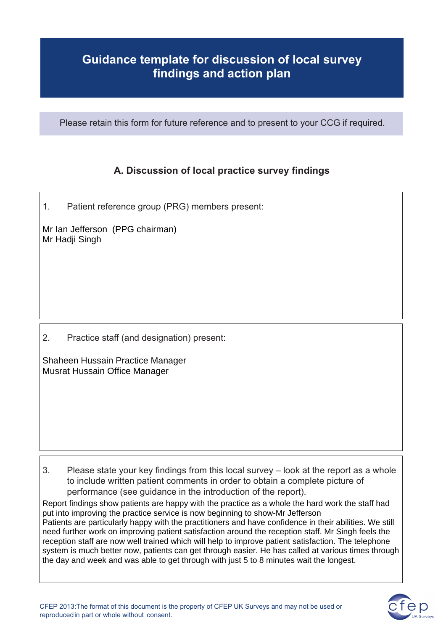### **Guidance template for discussion of local survey findings and action plan**

Please retain this form for future reference and to present to your CCG if required.

### **A. Discussion of local practice survey findings**

1. Patient reference group (PRG) members present:

Mr Ian Jefferson (PPG chairman) Mr Hadji Singh

2. Practice staff (and designation) present:

Shaheen Hussain Practice Manager Musrat Hussain Office Manager

3. Please state your key findings from this local survey – look at the report as a whole to include written patient comments in order to obtain a complete picture of performance (see guidance in the introduction of the report).

Report findings show patients are happy with the practice as a whole the hard work the staff had put into improving the practice service is now beginning to show-Mr Jefferson Patients are particularly happy with the practitioners and have confidence in their abilities. We still need further work on improving patient satisfaction around the reception staff. Mr Singh feels the reception staff are now well trained which will help to improve patient satisfaction. The telephone system is much better now, patients can get through easier. He has called at various times through the day and week and was able to get through with just 5 to 8 minutes wait the longest.

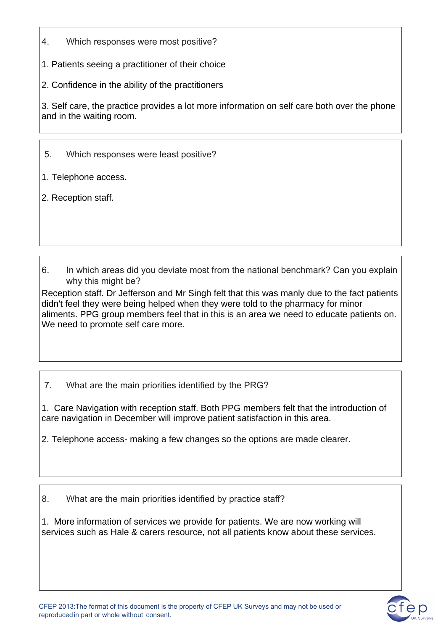- 4. Which responses were most positive?
- 1. Patients seeing a practitioner of their choice
- 2. Confidence in the ability of the practitioners

3. Self care, the practice provides a lot more information on self care both over the phone and in the waiting room.

### 5. Which responses were least positive?

1. Telephone access.

2. Reception staff.

6. In which areas did you deviate most from the national benchmark? Can you explain why this might be?

Reception staff. Dr Jefferson and Mr Singh felt that this was manly due to the fact patients didn't feel they were being helped when they were told to the pharmacy for minor aliments. PPG group members feel that in this is an area we need to educate patients on. We need to promote self care more.

7. What are the main priorities identified by the PRG?

1. Care Navigation with reception staff. Both PPG members felt that the introduction of care navigation in December will improve patient satisfaction in this area.

2. Telephone access- making a few changes so the options are made clearer.

8. What are the main priorities identified by practice staff?

1. More information of services we provide for patients. We are now working will services such as Hale & carers resource, not all patients know about these services.

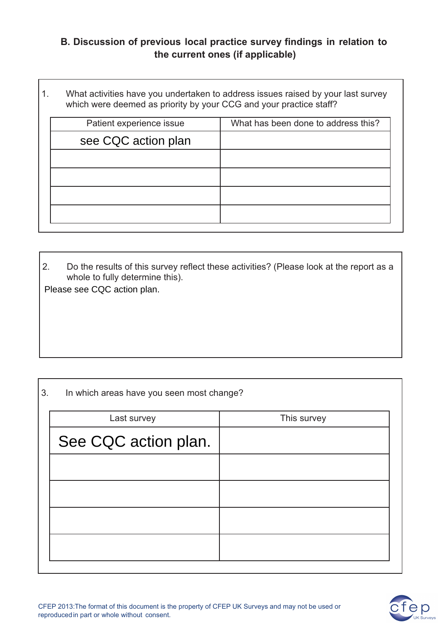### **B. Discussion of previous local practice survey findings in relation to the current ones (if applicable)**

1. What activities have you undertaken to address issues raised by your last survey which were deemed as priority by your CCG and your practice staff?

| Patient experience issue | What has been done to address this? |
|--------------------------|-------------------------------------|
| see CQC action plan      |                                     |
|                          |                                     |
|                          |                                     |
|                          |                                     |
|                          |                                     |
|                          |                                     |

2. Do the results of this survey reflect these activities? (Please look at the report as a whole to fully determine this).

Please see CQC action plan.

3. In which areas have you seen most change?

| This survey |  |
|-------------|--|
|             |  |
|             |  |
|             |  |
|             |  |
|             |  |
|             |  |